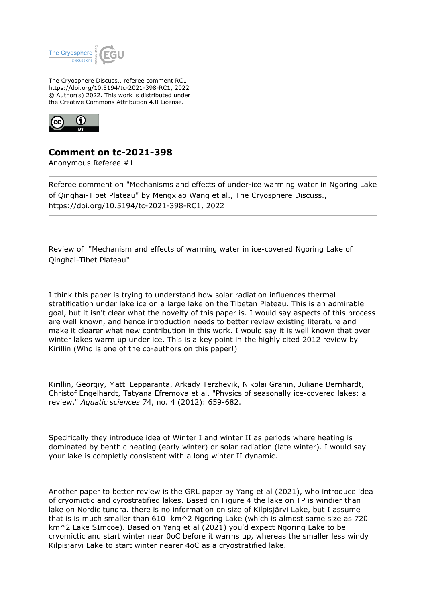

The Cryosphere Discuss., referee comment RC1 https://doi.org/10.5194/tc-2021-398-RC1, 2022 © Author(s) 2022. This work is distributed under the Creative Commons Attribution 4.0 License.



## **Comment on tc-2021-398**

Anonymous Referee #1

Referee comment on "Mechanisms and effects of under-ice warming water in Ngoring Lake of Qinghai-Tibet Plateau" by Mengxiao Wang et al., The Cryosphere Discuss., https://doi.org/10.5194/tc-2021-398-RC1, 2022

Review of "Mechanism and effects of warming water in ice-covered Ngoring Lake of Qinghai-Tibet Plateau"

I think this paper is trying to understand how solar radiation influences thermal stratification under lake ice on a large lake on the Tibetan Plateau. This is an admirable goal, but it isn't clear what the novelty of this paper is. I would say aspects of this process are well known, and hence introduction needs to better review existing literature and make it clearer what new contribution in this work. I would say it is well known that over winter lakes warm up under ice. This is a key point in the highly cited 2012 review by Kirillin (Who is one of the co-authors on this paper!)

Kirillin, Georgiy, Matti Leppäranta, Arkady Terzhevik, Nikolai Granin, Juliane Bernhardt, Christof Engelhardt, Tatyana Efremova et al. "Physics of seasonally ice-covered lakes: a review." *Aquatic sciences* 74, no. 4 (2012): 659-682.

Specifically they introduce idea of Winter I and winter II as periods where heating is dominated by benthic heating (early winter) or solar radiation (late winter). I would say your lake is completly consistent with a long winter II dynamic.

Another paper to better review is the GRL paper by Yang et al (2021), who introduce idea of cryomictic and cyrostratified lakes. Based on Figure 4 the lake on TP is windier than lake on Nordic tundra. there is no information on size of Kilpisjärvi Lake, but I assume that is is much smaller than 610 km^2 Ngoring Lake (which is almost same size as 720 km^2 Lake SImcoe). Based on Yang et al (2021) you'd expect Ngoring Lake to be cryomictic and start winter near 0oC before it warms up, whereas the smaller less windy Kilpisjärvi Lake to start winter nearer 4oC as a cryostratified lake.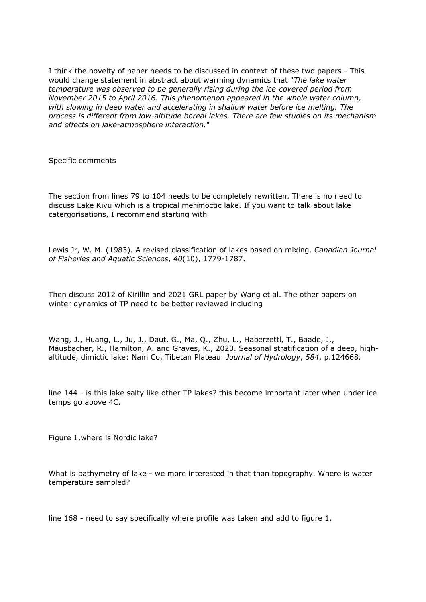I think the novelty of paper needs to be discussed in context of these two papers - This would change statement in abstract about warming dynamics that "*The lake water temperature was observed to be generally rising during the ice-covered period from November 2015 to April 2016. This phenomenon appeared in the whole water column, with slowing in deep water and accelerating in shallow water before ice melting. The process is different from low-altitude boreal lakes. There are few studies on its mechanism and effects on lake-atmosphere interaction.*"

Specific comments

The section from lines 79 to 104 needs to be completely rewritten. There is no need to discuss Lake Kivu which is a tropical merimoctic lake. If you want to talk about lake catergorisations, I recommend starting with

Lewis Jr, W. M. (1983). A revised classification of lakes based on mixing. *Canadian Journal of Fisheries and Aquatic Sciences*, *40*(10), 1779-1787.

Then discuss 2012 of Kirillin and 2021 GRL paper by Wang et al. The other papers on winter dynamics of TP need to be better reviewed including

Wang, J., Huang, L., Ju, J., Daut, G., Ma, Q., Zhu, L., Haberzettl, T., Baade, J., Mäusbacher, R., Hamilton, A. and Graves, K., 2020. Seasonal stratification of a deep, highaltitude, dimictic lake: Nam Co, Tibetan Plateau. *Journal of Hydrology*, *584*, p.124668.

line 144 - is this lake salty like other TP lakes? this become important later when under ice temps go above 4C.

Figure 1.where is Nordic lake?

What is bathymetry of lake - we more interested in that than topography. Where is water temperature sampled?

line 168 - need to say specifically where profile was taken and add to figure 1.